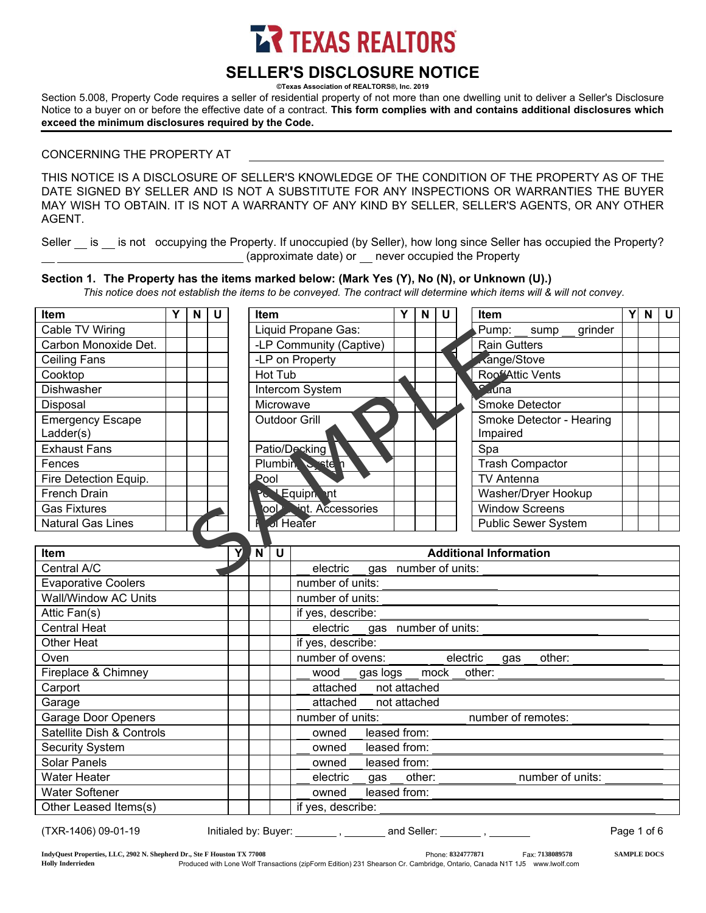

# SELLER'S DISCLOSURE NOTICE

©Texas Association of REALTORS®, Inc. 2019

Section 5.008, Property Code requires a seller of residential property of not more than one dwelling unit to deliver a Seller's Disclosure Notice to a buyer on or before the effective date of a contract. This form complies with and contains additional disclosures which exceed the minimum disclosures required by the Code.

#### CONCERNING THE PROPERTY AT

THIS NOTICE IS A DISCLOSURE OF SELLER'S KNOWLEDGE OF THE CONDITION OF THE PROPERTY AS OF THE DATE SIGNED BY SELLER AND IS NOT A SUBSTITUTE FOR ANY INSPECTIONS OR WARRANTIES THE BUYER MAY WISH TO OBTAIN. IT IS NOT A WARRANTY OF ANY KIND BY SELLER, SELLER'S AGENTS, OR ANY OTHER AGENT.

Seller is is not occupying the Property. If unoccupied (by Seller), how long since Seller has occupied the Property? (approximate date) or never occupied the Property

#### Section 1. The Property has the items marked below: (Mark Yes (Y), No (N), or Unknown (U).)

*This notice does not establish the items to be conveyed. The contract will determine which items will & will not convey.*

| <b>Item</b>                          | Υ                     | N | U |                      | Item                                          |                |                                                                    | Y | N            | U    |          | Item                                 | Y N         | U |
|--------------------------------------|-----------------------|---|---|----------------------|-----------------------------------------------|----------------|--------------------------------------------------------------------|---|--------------|------|----------|--------------------------------------|-------------|---|
| Cable TV Wiring                      |                       |   |   |                      |                                               |                | Liquid Propane Gas:                                                |   |              |      |          | Pump:<br>grinder<br>sump             |             |   |
| Carbon Monoxide Det.                 |                       |   |   |                      |                                               |                | -LP Community (Captive)                                            |   |              |      |          | <b>Rain Gutters</b>                  |             |   |
| <b>Ceiling Fans</b>                  |                       |   |   |                      |                                               |                | -LP on Property                                                    |   |              |      |          | <b>ange/Stove</b>                    |             |   |
| Cooktop                              |                       |   |   |                      |                                               | <b>Hot Tub</b> |                                                                    |   |              |      |          | Roof Attic Vents                     |             |   |
| Dishwasher                           |                       |   |   |                      |                                               |                | Intercom System                                                    |   |              |      |          | auna                                 |             |   |
| Disposal                             |                       |   |   |                      |                                               |                | Microwave                                                          |   |              |      |          | Smoke Detector                       |             |   |
| <b>Emergency Escape</b><br>Ladder(s) |                       |   |   |                      |                                               |                | <b>Outdoor Grill</b>                                               |   |              |      |          | Smoke Detector - Hearing<br>Impaired |             |   |
| <b>Exhaust Fans</b>                  |                       |   |   |                      |                                               |                | Patio/Decking                                                      |   |              |      |          | Spa                                  |             |   |
| Fences                               |                       |   |   |                      |                                               |                | Plumbin Sister                                                     |   |              |      |          | <b>Trash Compactor</b>               |             |   |
| Fire Detection Equip.                |                       |   |   |                      | <b>Pool</b>                                   |                |                                                                    |   |              |      |          | <b>TV Antenna</b>                    |             |   |
| French Drain                         |                       |   |   |                      | $\overline{OC}$                               |                | <b>Fquipt ent</b>                                                  |   |              |      |          | Washer/Dryer Hookup                  |             |   |
| <b>Gas Fixtures</b>                  |                       |   |   |                      |                                               | <b>POL</b>     | Accessories                                                        |   |              |      |          | <b>Window Screens</b>                |             |   |
| <b>Natural Gas Lines</b>             |                       |   |   |                      | Ą                                             |                | J Heater                                                           |   |              |      |          | <b>Public Sewer System</b>           |             |   |
|                                      |                       |   |   |                      |                                               |                |                                                                    |   |              |      |          |                                      |             |   |
| Item                                 |                       |   |   |                      | N <sup>'</sup>                                | $\overline{U}$ |                                                                    |   |              |      |          | <b>Additional Information</b>        |             |   |
| Central A/C                          |                       |   |   |                      |                                               |                | gas number of units:<br>electric                                   |   |              |      |          |                                      |             |   |
| <b>Evaporative Coolers</b>           |                       |   |   |                      | number of units:                              |                |                                                                    |   |              |      |          |                                      |             |   |
| Wall/Window AC Units                 |                       |   |   |                      | number of units:                              |                |                                                                    |   |              |      |          |                                      |             |   |
| Attic Fan(s)                         |                       |   |   |                      |                                               |                | if yes, describe:                                                  |   |              |      |          |                                      |             |   |
| <b>Central Heat</b>                  |                       |   |   |                      |                                               |                | electric<br>gas number of units:                                   |   |              |      |          |                                      |             |   |
| Other Heat                           |                       |   |   |                      |                                               |                | if yes, describe:                                                  |   |              |      |          |                                      |             |   |
| Oven                                 |                       |   |   |                      |                                               |                | number of ovens:                                                   |   |              |      | electric | other:<br>gas                        |             |   |
| Fireplace & Chimney                  |                       |   |   |                      |                                               |                | wood<br>gas logs                                                   |   |              | mock |          | other:                               |             |   |
| Carport                              |                       |   |   |                      |                                               |                | attached                                                           |   | not attached |      |          |                                      |             |   |
| Garage                               |                       |   |   |                      |                                               |                | attached                                                           |   | not attached |      |          |                                      |             |   |
| <b>Garage Door Openers</b>           |                       |   |   |                      |                                               |                | number of units:                                                   |   |              |      |          | number of remotes:                   |             |   |
| Satellite Dish & Controls            |                       |   |   |                      |                                               |                | leased from:<br>owned                                              |   |              |      |          |                                      |             |   |
| <b>Security System</b>               |                       |   |   |                      | leased from:<br>owned                         |                |                                                                    |   |              |      |          |                                      |             |   |
| <b>Solar Panels</b>                  |                       |   |   |                      |                                               |                | leased from:<br>owned                                              |   |              |      |          |                                      |             |   |
| <b>Water Heater</b>                  |                       |   |   |                      | other:<br>number of units:<br>electric<br>gas |                |                                                                    |   |              |      |          |                                      |             |   |
| <b>Water Softener</b>                | leased from:<br>owned |   |   |                      |                                               |                |                                                                    |   |              |      |          |                                      |             |   |
| Other Leased Items(s)                |                       |   |   |                      |                                               |                | if yes, describe:                                                  |   |              |      |          |                                      |             |   |
| (TXR-1406) 09-01-19                  |                       |   |   | Initialed by: Buyer: |                                               |                | $\overline{\phantom{a}}$ , and the set of $\overline{\phantom{a}}$ |   | and Seller:  |      |          |                                      | Page 1 of 6 |   |

Phone: 8324777871 Eav: 7138089578 Produced with Lone Wolf Transactions (zipForm Edition) 231 Shearson Cr. Cambridge, Ontario, Canada N1T 1J5 www.lwolf.com **IndyQuest Properties, LLC, 2902 N. Shepherd Dr., Ste F Houston TX 77008 8324777871 7138089578 SAMPLE DOCS Holly Inderrieden**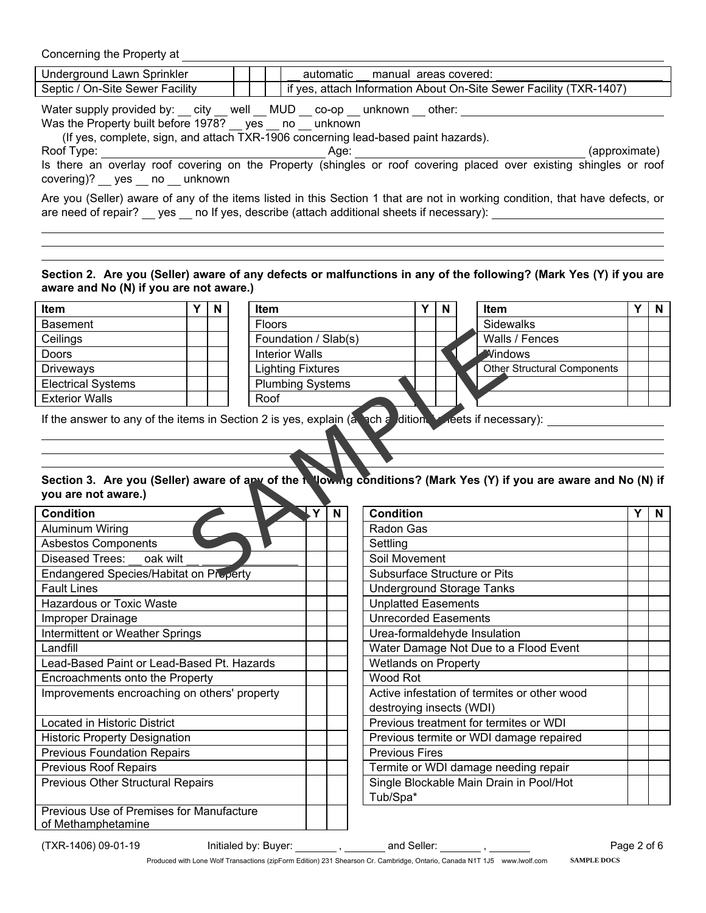Concerning the Property at

| Underground Lawn Sprinkler      |  | manual<br>areas covered:<br>automatic                                      |
|---------------------------------|--|----------------------------------------------------------------------------|
| Septic / On-Site Sewer Facility |  | attach Information About On-Site Sewer Facility (<br>(TXR-1407)<br>if ves. |
|                                 |  |                                                                            |

Water supply provided by: city well MUD co-op unknown other: Was the Property built before 1978? yes no unknown

(If yes, complete, sign, and attach TXR-1906 concerning lead-based paint hazards).

Roof Type: (approximate) Roof Type: (approximate) Age: (approximate) Age: (approximate) Is there an overlay roof covering on the Property (shingles or roof covering placed over existing shingles or roof covering)? yes no unknown

Are you (Seller) aware of any of the items listed in this Section 1 that are not in working condition, that have defects, or are need of repair? yes no If yes, describe (attach additional sheets if necessary):

### Section 2. Are you (Seller) aware of any defects or malfunctions in any of the following? (Mark Yes (Y) if you are aware and No (N) if you are not aware.)

| Item                                                                  | Υ | N | <b>Item</b>              |                              |  | N | <b>Item</b>                                              | Υ | N           |
|-----------------------------------------------------------------------|---|---|--------------------------|------------------------------|--|---|----------------------------------------------------------|---|-------------|
| <b>Basement</b>                                                       |   |   | <b>Floors</b>            |                              |  |   | Sidewalks                                                |   |             |
| Ceilings                                                              |   |   | Foundation / Slab(s)     |                              |  |   | Walls / Fences                                           |   |             |
| Doors                                                                 |   |   | <b>Interior Walls</b>    |                              |  |   | Windows                                                  |   |             |
| <b>Driveways</b>                                                      |   |   | <b>Lighting Fixtures</b> |                              |  |   | <b>Other Structural Components</b>                       |   |             |
| <b>Electrical Systems</b>                                             |   |   | <b>Plumbing Systems</b>  |                              |  |   |                                                          |   |             |
| <b>Exterior Walls</b>                                                 |   |   | Roof                     |                              |  |   |                                                          |   |             |
| Section 3. Are you (Seller) aware of an of the<br>you are not aware.) |   |   |                          | <b>TION AT</b>               |  |   | conditions? (Mark Yes (Y) if you are aware and No (N) if |   |             |
| <b>Condition</b>                                                      |   |   |                          | N<br><b>Condition</b>        |  |   |                                                          | Υ | $\mathbf N$ |
| Aluminum Wiring                                                       |   |   |                          | Radon Gas                    |  |   |                                                          |   |             |
| <b>Asbestos Components</b>                                            |   |   |                          | Settling                     |  |   |                                                          |   |             |
| Diseased Trees:<br>oak wilt                                           |   |   |                          | Soil Movement                |  |   |                                                          |   |             |
| <b>Endangered Species/Habitat on Property</b>                         |   |   |                          | Subsurface Structure or Pits |  |   |                                                          |   |             |

# Section 3. Are you (Seller) aware of any of the **fullowing conditions?** (Mark Yes (Y) if you are aware and No (N) if you are not aware.)

| <b>Condition</b>                              | N | <b>Condition</b>                             | Y | N |
|-----------------------------------------------|---|----------------------------------------------|---|---|
| Aluminum Wiring                               |   | Radon Gas                                    |   |   |
| <b>Asbestos Components</b>                    |   | Settling                                     |   |   |
| Diseased Trees:<br>oak wilt                   |   | Soil Movement                                |   |   |
| <b>Endangered Species/Habitat on Property</b> |   | Subsurface Structure or Pits                 |   |   |
| <b>Fault Lines</b>                            |   | <b>Underground Storage Tanks</b>             |   |   |
| <b>Hazardous or Toxic Waste</b>               |   | <b>Unplatted Easements</b>                   |   |   |
| Improper Drainage                             |   | <b>Unrecorded Easements</b>                  |   |   |
| Intermittent or Weather Springs               |   | Urea-formaldehyde Insulation                 |   |   |
| Landfill                                      |   | Water Damage Not Due to a Flood Event        |   |   |
| Lead-Based Paint or Lead-Based Pt. Hazards    |   | <b>Wetlands on Property</b>                  |   |   |
| Encroachments onto the Property               |   | Wood Rot                                     |   |   |
| Improvements encroaching on others' property  |   | Active infestation of termites or other wood |   |   |
|                                               |   | destroying insects (WDI)                     |   |   |
| Located in Historic District                  |   | Previous treatment for termites or WDI       |   |   |
| <b>Historic Property Designation</b>          |   | Previous termite or WDI damage repaired      |   |   |
| <b>Previous Foundation Repairs</b>            |   | <b>Previous Fires</b>                        |   |   |
| <b>Previous Roof Repairs</b>                  |   | Termite or WDI damage needing repair         |   |   |
| <b>Previous Other Structural Repairs</b>      |   | Single Blockable Main Drain in Pool/Hot      |   |   |
|                                               |   | Tub/Spa*                                     |   |   |
| Previous Use of Premises for Manufacture      |   |                                              |   |   |
| of Methamphetamine                            |   |                                              |   |   |

| <b>Condition</b>                             | Y | N |
|----------------------------------------------|---|---|
| Radon Gas                                    |   |   |
| Settling                                     |   |   |
| Soil Movement                                |   |   |
| Subsurface Structure or Pits                 |   |   |
| <b>Underground Storage Tanks</b>             |   |   |
| <b>Unplatted Easements</b>                   |   |   |
| Unrecorded Easements                         |   |   |
| Urea-formaldehyde Insulation                 |   |   |
| Water Damage Not Due to a Flood Event        |   |   |
| <b>Wetlands on Property</b>                  |   |   |
| Wood Rot                                     |   |   |
| Active infestation of termites or other wood |   |   |
| destroying insects (WDI)                     |   |   |
| Previous treatment for termites or WDI       |   |   |
| Previous termite or WDI damage repaired      |   |   |
| <b>Previous Fires</b>                        |   |   |
| Termite or WDI damage needing repair         |   |   |
| Single Blockable Main Drain in Pool/Hot      |   |   |
| Tub/Spa*                                     |   |   |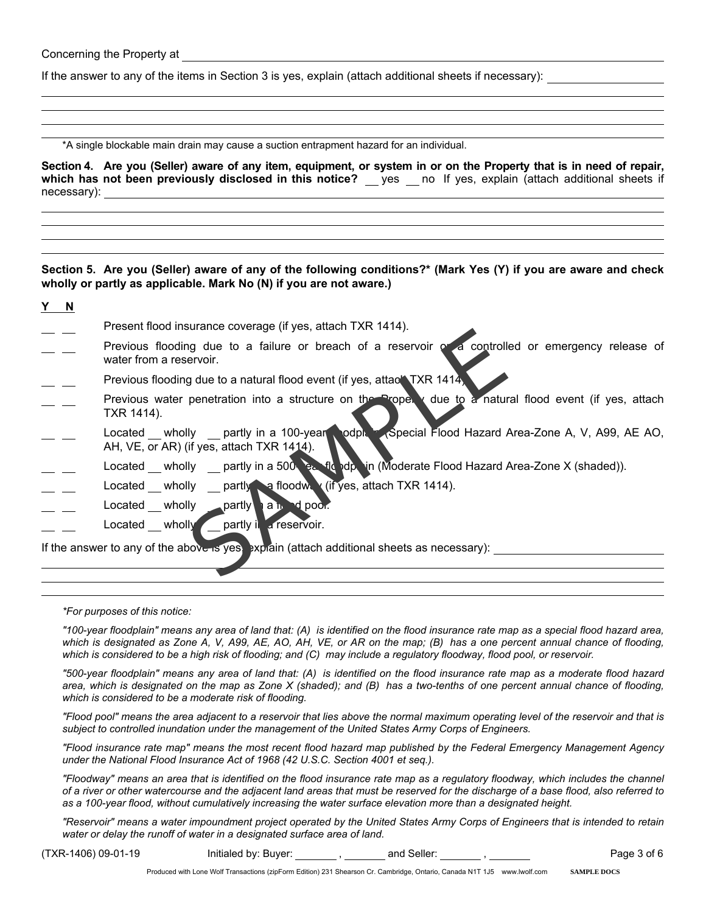Concerning the Property at

If the answer to any of the items in Section 3 is yes, explain (attach additional sheets if necessary):

\*A single blockable main drain may cause a suction entrapment hazard for an individual.

Section 4. Are you (Seller) aware of any item, equipment, or system in or on the Property that is in need of repair, which has not been previously disclosed in this notice? ges go of if yes, explain (attach additional sheets if necessary):

Section 5. Are you (Seller) aware of any of the following conditions?\* (Mark Yes (Y) if you are aware and check wholly or partly as applicable. Mark No (N) if you are not aware.)

- Y N
- Present flood insurance coverage (if yes, attach TXR 1414).
- Previous flooding due to a failure or breach of a reservoir or a controlled or emergency release of water from a reservoir.
- Previous flooding due to a natural flood event (if yes, attach TXR 1414).
- Previous water penetration into a structure on the Property due to a natural flood event (if yes, attach TXR 1414).
- Located wholly partly in a 100-year of dp. Special Flood Hazard Area-Zone A, V, A99, AE AO, AH, VE, or AR) (if yes, attach TXR 1414). surance coverage (if yes, attach TXR 1414).<br>
Ig due to a failure or breach of a reservoir or a controlled<br>
ervoir.<br>
g due to a natural flood event (if yes, attach TXR 1414).<br>
penetration into a structure on the special Flo
- Located wholly partly in a 500  $\epsilon$  flood plain (Moderate Flood Hazard Area-Zone X (shaded)).
- Located wholly partly floodw (if s, attach TXR 1414).
- Located wholly partly a flood pool.
- Located wholly partly in reservoir.

If the answer to any of the above is yes,  $\mathbf{x}$  y at a proportional sheets as necessary):

*\*For purposes of this notice:*

*"100-year floodplain" means any area of land that: (A) is identified on the flood insurance rate map as a special flood hazard area, which is designated as Zone A, V, A99, AE, AO, AH, VE, or AR on the map; (B) has a one percent annual chance of flooding, which is considered to be a high risk of flooding; and (C) may include a regulatory floodway, flood pool, or reservoir.*

*"500-year floodplain" means any area of land that: (A) is identified on the flood insurance rate map as a moderate flood hazard area, which is designated on the map as Zone X (shaded); and (B) has a two-tenths of one percent annual chance of flooding, which is considered to be a moderate risk of flooding.*

*"Flood pool" means the area adjacent to a reservoir that lies above the normal maximum operating level of the reservoir and that is subject to controlled inundation under the management of the United States Army Corps of Engineers.*

*"Flood insurance rate map" means the most recent flood hazard map published by the Federal Emergency Management Agency under the National Flood Insurance Act of 1968 (42 U.S.C. Section 4001 et seq.).*

*"Floodway" means an area that is identified on the flood insurance rate map as a regulatory floodway, which includes the channel of a river or other watercourse and the adjacent land areas that must be reserved for the discharge of a base flood, also referred to as a 100-year flood, without cumulatively increasing the water surface elevation more than a designated height.*

*"Reservoir" means a water impoundment project operated by the United States Army Corps of Engineers that is intended to retain water or delay the runoff of water in a designated surface area of land.*

 $(TXR-1406)$  09-01-19 **Initialed by: Buyer:**  $\frac{1}{1-\frac{1}{2-\frac{1}{2-\frac{1}{2-\frac{1}{2-\frac{1}{2-\frac{1}{2-\frac{1}{2-\frac{1}{2-\frac{1}{2-\frac{1}{2-\frac{1}{2-\frac{1}{2-\frac{1}{2-\frac{1}{2-\frac{1}{2-\frac{1}{2-\frac{1}{2-\frac{1}{2-\frac{1}{2-\frac{1}{2-\frac{1}{2-\frac{1}{2-\frac{1}{2-\frac{1}{2-\frac{1}{2-\frac{1}{2-\frac{1}{2-\frac{1}{2-\frac{$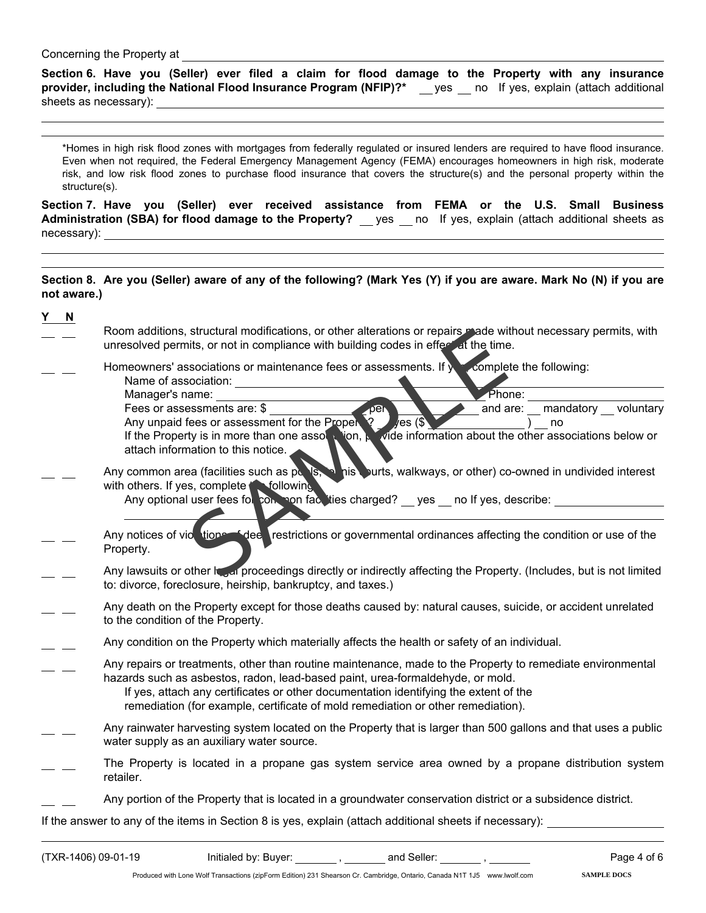Section 6. Have you (Seller) ever filed a claim for flood damage to the Property with any insurance provider, including the National Flood Insurance Program (NFIP)?\* yes no If yes, explain (attach additional sheets as necessary):

\*Homes in high risk flood zones with mortgages from federally regulated or insured lenders are required to have flood insurance. Even when not required, the Federal Emergency Management Agency (FEMA) encourages homeowners in high risk, moderate risk, and low risk flood zones to purchase flood insurance that covers the structure(s) and the personal property within the structure(s).

Section 7. Have you (Seller) ever received assistance from FEMA or the U.S. Small Business Administration (SBA) for flood damage to the Property? ses no If yes, explain (attach additional sheets as necessary):

|             | Section 8. Are you (Seller) aware of any of the following? (Mark Yes (Y) if you are aware. Mark No (N) if you are |  |  |  |  |
|-------------|-------------------------------------------------------------------------------------------------------------------|--|--|--|--|
| not aware.) |                                                                                                                   |  |  |  |  |

- Room additions, structural modifications, or other alterations or repairs mode without necessary permits, with unresolved permits, or not in compliance with building codes in effect at the time.
- Homeowners' associations or maintenance fees or assessments. If yes, complete the following: Name of association: Name of association: Manager's name:<br>
Fees or assessments are: \$<br>
Any unpaid fees or assessment for the Prope.<br>  $\frac{1}{2}$ <br>
es (\$ Fees or assessments are: \$ per and are: mandatory voluntary Any unpaid fees or assessment for the Property?  $\frac{1}{2}$  es (\$ ) increases in no If the Property is in more than one association, provide information about the other associations below or attach information to this notice. Any common area (facilities such as polls, tendis courts, walkways, or other) co-owned in undivided interest with others. If yes, complete the following Any optional user fees for ont on take ities charged? yes no If yes, describe: Any notices of violations of deed restrictions or governmental ordinances affecting the condition or use of the Property. Any lawsuits or other legal proceedings directly or indirectly affecting the Property. (Includes, but is not limited to: divorce, foreclosure, heirship, bankruptcy, and taxes.) Any death on the Property except for those deaths caused by: natural causes, suicide, or accident unrelated to the condition of the Property. Any condition on the Property which materially affects the health or safety of an individual. Any repairs or treatments, other than routine maintenance, made to the Property to remediate environmental hazards such as asbestos, radon, lead-based paint, urea-formaldehyde, or mold. If yes, attach any certificates or other documentation identifying the extent of the remediation (for example, certificate of mold remediation or other remediation). Any rainwater harvesting system located on the Property that is larger than 500 gallons and that uses a public water supply as an auxiliary water source. The Property is located in a propane gas system service area owned by a propane distribution system retailer. Any portion of the Property that is located in a groundwater conservation district or a subsidence district. If the answer to any of the items in Section 8 is yes, explain (attach additional sheets if necessary): structural modifications, or other alterations or repairs mode with<br>its, or not in compliance with building codes in effect the time.<br>Sociation:<br>colation:<br>examples are: \$<br>examples are: \$<br>these or assessment for the Propel.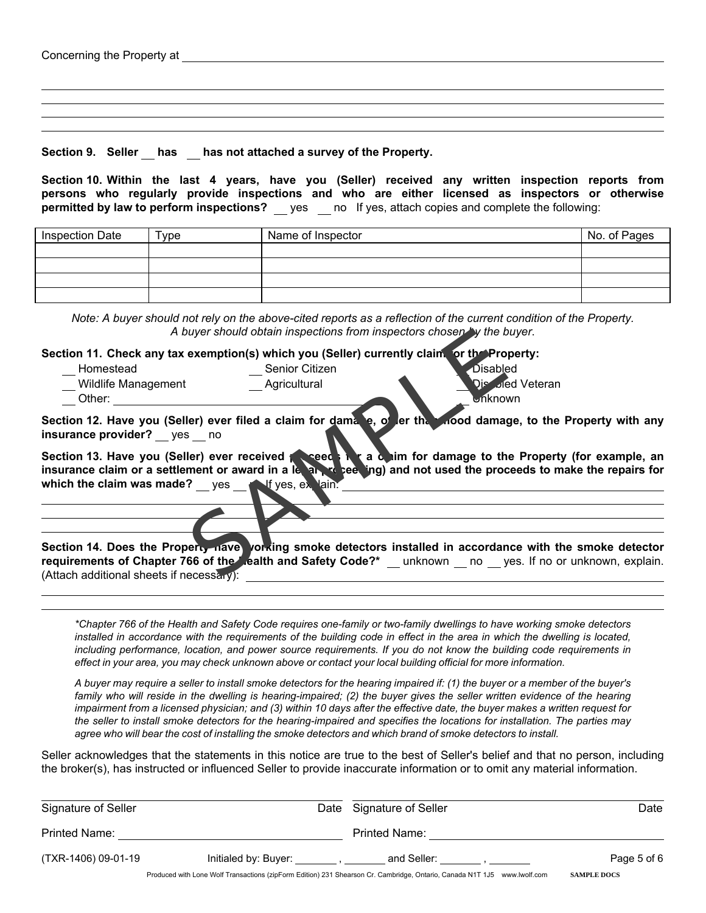| Concerning the Property at |  |  |  |
|----------------------------|--|--|--|
|----------------------------|--|--|--|

Section 9. Seller has has not attached a survey of the Property.

Section 10. Within the last 4 years, have you (Seller) received any written inspection reports from persons who regularly provide inspections and who are either licensed as inspectors or otherwise **permitted by law to perform inspections?** yes no If yes, attach copies and complete the following:

| <b>Inspection Date</b> | ype | Name of Inspector | No. of Pages |
|------------------------|-----|-------------------|--------------|
|                        |     |                   |              |
|                        |     |                   |              |
|                        |     |                   |              |
|                        |     |                   |              |

*Note: A buyer should not rely on the above-cited reports as a reflection of the current condition of the Property.* A buyer should obtain inspections from inspectors chosen **buyer** the buyer.

Section 11. Check any tax exemption(s) which you (Seller) currently claim for the Property:

Homestead Senior Citizen **Disabled** Wildlife Management Agricultural Agricultural Disabled Veteran Other: Unknown Number of the Unknown Number of the Unknown Number of the Unknown Number of the Unknown Number of the Unknown Number of the Unknown Number of the Unknown Number of the United States of the United States of t

Section 12. Have you (Seller) ever filed a claim for damage, other than mood damage, to the Property with any insurance provider? yes no

Section 13. Have you (Seller) ever received proceeds for a column for damage to the Property (for example, an insurance claim or a settlement or award in a  $\ln$  and roused ng) and not used the proceeds to make the repairs for which the claim was made?  $y$ es  $y$ es, explain.

Section 14. Does the Property nave orking smoke detectors installed in accordance with the smoke detector requirements of Chapter 766 of the Health and Safety Code?\* unknown no yes. If no or unknown, explain. (Attach additional sheets if necessary): Exercise of the buyer should obtain inspections from inspectors chosen **to the Drope**<br>
Senior Citizen<br>
Agricultural<br>
Agricultural<br>
Agricultural<br>
Agricultural<br>
Agricultural<br>
Agricultural<br>
Agricultural<br>
Agricultural<br>
Agricul

*\*Chapter 766 of the Health and Safety Code requires one-family or two-family dwellings to have working smoke detectors installed in accordance with the requirements of the building code in effect in the area in which the dwelling is located, including performance, location, and power source requirements. If you do not know the building code requirements in effect in your area, you may check unknown above or contact your local building official for more information.*

*A buyer may require a seller to install smoke detectors for the hearing impaired if: (1) the buyer or a member of the buyer's family who will reside in the dwelling is hearing-impaired; (2) the buyer gives the seller written evidence of the hearing impairment from a licensed physician; and (3) within 10 days after the effective date, the buyer makes a written request for the seller to install smoke detectors for the hearing-impaired and specifies the locations for installation. The parties may agree who will bear the cost of installing the smoke detectors and which brand of smoke detectors to install.*

Seller acknowledges that the statements in this notice are true to the best of Seller's belief and that no person, including the broker(s), has instructed or influenced Seller to provide inaccurate information or to omit any material information.

|                      |                      | Date                                                                                                                                                  |
|----------------------|----------------------|-------------------------------------------------------------------------------------------------------------------------------------------------------|
|                      | <b>Printed Name:</b> |                                                                                                                                                       |
| Initialed by: Buyer: | and Seller:          | Page 5 of 6                                                                                                                                           |
|                      |                      | Date Signature of Seller<br>Droduced with Lane Welf Transpotions (zinEerm Edition) 221 Chaereon Cr. Combridge, Ontario, Canado N1T 1 IE www.hyelf.com |

 $n$ ns (zipForm Edition) 231 Shearson Cr. Cambridge, Ontario, Canada N1T 1J5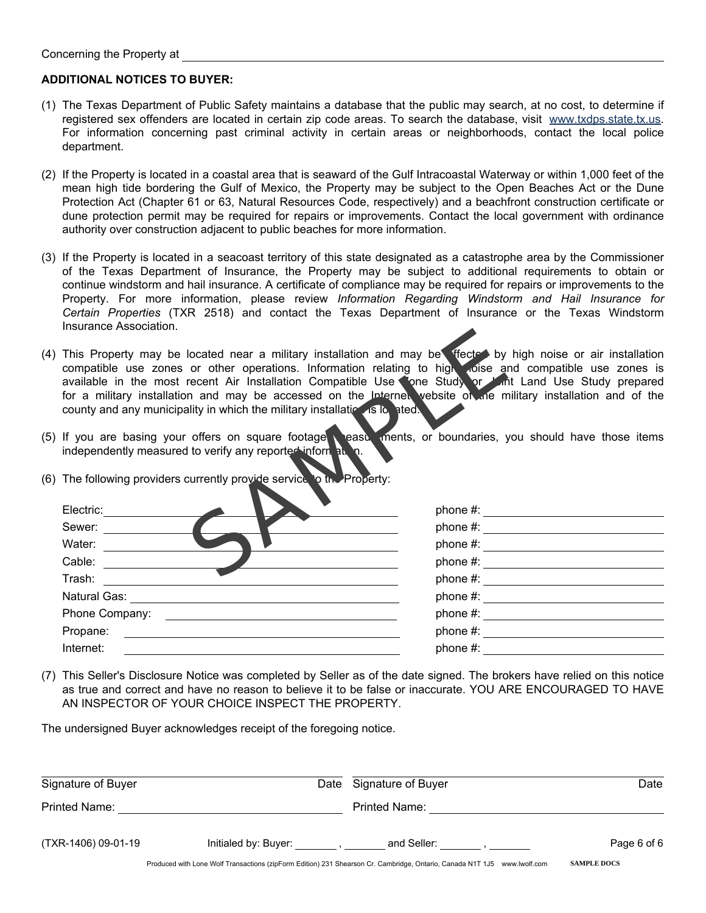Concerning the Property at

# ADDITIONAL NOTICES TO BUYER:

- (1) The Texas Department of Public Safety maintains a database that the public may search, at no cost, to determine if registered sex offenders are located in certain zip code areas. To search the database, visit www.txdps.state.tx.us. For information concerning past criminal activity in certain areas or neighborhoods, contact the local police department.
- (2) If the Property is located in a coastal area that is seaward of the Gulf Intracoastal Waterway or within 1,000 feet of the mean high tide bordering the Gulf of Mexico, the Property may be subject to the Open Beaches Act or the Dune Protection Act (Chapter 61 or 63, Natural Resources Code, respectively) and a beachfront construction certificate or dune protection permit may be required for repairs or improvements. Contact the local government with ordinance authority over construction adjacent to public beaches for more information.
- (3) If the Property is located in a seacoast territory of this state designated as a catastrophe area by the Commissioner of the Texas Department of Insurance, the Property may be subject to additional requirements to obtain or continue windstorm and hail insurance. A certificate of compliance may be required for repairs or improvements to the Property. For more information, please review *Information Regarding Windstorm and Hail Insurance for Certain Properties* (TXR 2518) and contact the Texas Department of Insurance or the Texas Windstorm Insurance Association.
- (4) This Property may be located near a military installation and may be fected by high noise or air installation compatible use zones or other operations. Information relating to high vise and compatible use zones is available in the most recent Air Installation Compatible Use **Share Study of Junt Land Use Study prepared** for a military installation and may be accessed on the Internet vebsite of the military installation and of the county and any municipality in which the military installation is located.
- (5) If you are basing your offers on square footage, it asked nents, or boundaries, you should have those items independently measured to verify any reported informetic
- (6) The following providers currently provide service to  $\mathbf{r}$  roperty:

| Insurance Association.                                                                                                                                                                                                                                                                                                                                                                                                                                                                                                         |          |
|--------------------------------------------------------------------------------------------------------------------------------------------------------------------------------------------------------------------------------------------------------------------------------------------------------------------------------------------------------------------------------------------------------------------------------------------------------------------------------------------------------------------------------|----------|
| This Property may be located near a military installation and may be fecter, by high noise or air installation<br>compatible use zones or other operations. Information relating to high sise and compatible use zones is<br>available in the most recent Air Installation Compatible Use one Study of Land Use Study prepared<br>for a military installation and may be accessed on the Internet vebsite of the military installation and of the<br>county and any municipality in which the military installation is locked. |          |
| If you are basing your offers on square footage, it ask ments, or boundaries, you should have those items<br>independently measured to verify any reported inform tic                                                                                                                                                                                                                                                                                                                                                          |          |
| The following providers currently provide service to the croperty:                                                                                                                                                                                                                                                                                                                                                                                                                                                             |          |
| Electric: <u>________________</u>                                                                                                                                                                                                                                                                                                                                                                                                                                                                                              |          |
| Sewer:                                                                                                                                                                                                                                                                                                                                                                                                                                                                                                                         |          |
| Water: Water and the United States                                                                                                                                                                                                                                                                                                                                                                                                                                                                                             |          |
| Cable: <u>Cable:</u>                                                                                                                                                                                                                                                                                                                                                                                                                                                                                                           |          |
| Trash:                                                                                                                                                                                                                                                                                                                                                                                                                                                                                                                         |          |
|                                                                                                                                                                                                                                                                                                                                                                                                                                                                                                                                |          |
|                                                                                                                                                                                                                                                                                                                                                                                                                                                                                                                                |          |
| Propane:                                                                                                                                                                                                                                                                                                                                                                                                                                                                                                                       |          |
| Internet:                                                                                                                                                                                                                                                                                                                                                                                                                                                                                                                      | phone #: |
|                                                                                                                                                                                                                                                                                                                                                                                                                                                                                                                                |          |

(7) This Seller's Disclosure Notice was completed by Seller as of the date signed. The brokers have relied on this notice as true and correct and have no reason to believe it to be false or inaccurate. YOU ARE ENCOURAGED TO HAVE AN INSPECTOR OF YOUR CHOICE INSPECT THE PROPERTY.

The undersigned Buyer acknowledges receipt of the foregoing notice.

| Signature of Buyer   |                      | Date Signature of Buyer                                                                                                  | Date               |
|----------------------|----------------------|--------------------------------------------------------------------------------------------------------------------------|--------------------|
| <b>Printed Name:</b> |                      | <b>Printed Name:</b>                                                                                                     |                    |
| (TXR-1406) 09-01-19  | Initialed by: Buyer: | and Seller:                                                                                                              | Page 6 of 6        |
|                      |                      | Produced with Lone Wolf Transactions (zipForm Edition) 231 Shearson Cr. Cambridge, Ontario, Canada N1T 1J5 www.lwolf.com | <b>SAMPLE DOCS</b> |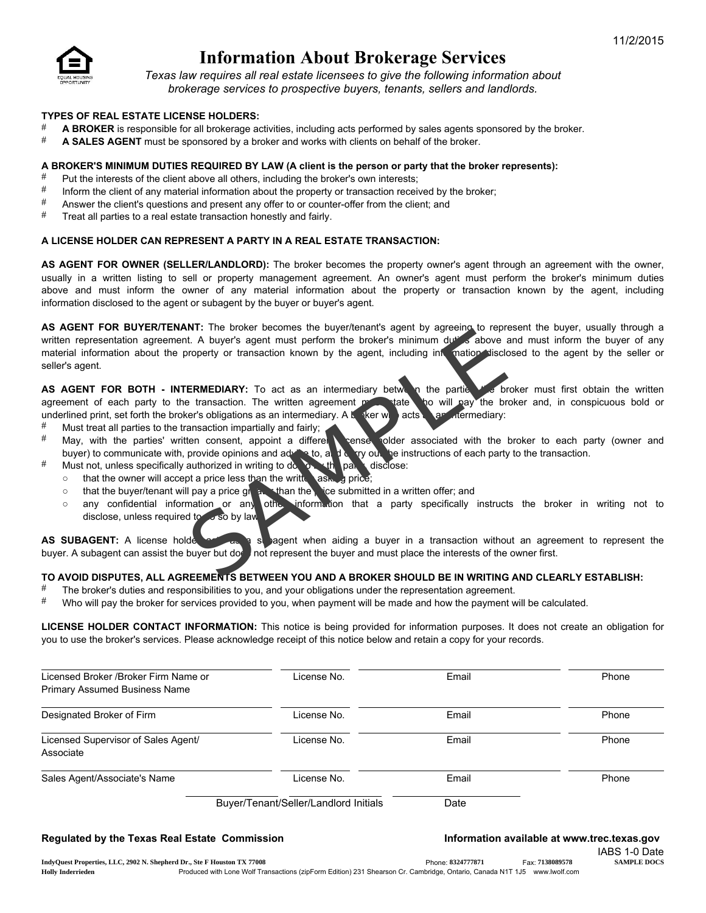

# Information About Brokerage Services

*Texas law requires all real estate licensees to give the following information about brokerage services to prospective buyers, tenants, sellers and landlords.*

#### TYPES OF REAL ESTATE LICENSE HOLDERS:

- **A BROKER** is responsible for all brokerage activities, including acts performed by sales agents sponsored by the broker.
- # A SALES AGENT must be sponsored by a broker and works with clients on behalf of the broker.

#### A BROKER'S MINIMUM DUTIES REQUIRED BY LAW (A client is the person or party that the broker represents):

- # Put the interests of the client above all others, including the broker's own interests;<br># Inform the client of one motorial information about the preparty or transaction required
- $\#$  Inform the client of any material information about the property or transaction received by the broker;<br> $\#$  Apouar the client's questions and present any effects as souries effection the client; and
- # Answer the client's questions and present any offer to or counter-offer from the client; and<br># Treat all parties to a real estate transaction beneatly and fairly
- Treat all parties to a real estate transaction honestly and fairly.

#### A LICENSE HOLDER CAN REPRESENT A PARTY IN A REAL ESTATE TRANSACTION:

AS AGENT FOR OWNER (SELLER/LANDLORD): The broker becomes the property owner's agent through an agreement with the owner, usually in a written listing to sell or property management agreement. An owner's agent must perform the broker's minimum duties above and must inform the owner of any material information about the property or transaction known by the agent, including information disclosed to the agent or subagent by the buyer or buyer's agent.

AS AGENT FOR BUYER/TENANT: The broker becomes the buyer/tenant's agent by agreeing to represent the buyer, usually through a written representation agreement. A buyer's agent must perform the broker's minimum dutiged above and must inform the buyer of any material information about the property or transaction known by the agent, including information disclosed to the agent by the seller or seller's agent. NT: The broker becomes the buyer/tenant's agent by agreeing to represe<br>
t. A buyer's agent must perform the broker's minimum duties above and<br>
noperty or transaction known by the agent, including intervalse and<br>
transactio

AS AGENT FOR BOTH - INTERMEDIARY: To act as an intermediary between the parties the broker must first obtain the written agreement of each party to the transaction. The written agreement must be will pay the broker and, in conspicuous bold or underlined print, set forth the broker's obligations as an intermediary. A  $\mathbb{R}$  broker who acts as an intermediary:

- Must treat all parties to the transaction impartially and fairly;
- $#$  May, with the parties' written consent, appoint a different light associated with the broker to each party (owner and buyer) to communicate with, provide opinions and advice to, and carrier with the instructions of each party to the transaction.
- $#$  Must not, unless specifically authorized in writing to  $\alpha$  by the party disclose:
	- o that the owner will accept a price less than the write as the price;
	- o that the buyer/tenant will pay a price greater an the sice submitted in a written offer; and
	- $\circ$  any confidential information or any other form tion that a party specifically instructs the broker in writing not to disclose, unless required to  $d$  by law.

AS SUBAGENT: A license holder and subagent when aiding a buyer in a transaction without an agreement to represent the buyer. A subagent can assist the buyer but does not represent the buyer and must place the interests of the owner first.

#### TO AVOID DISPUTES, ALL AGREEMENTS BETWEEN YOU AND A BROKER SHOULD BE IN WRITING AND CLEARLY ESTABLISH:

- $#$  The broker's duties and responsibilities to you, and your obligations under the representation agreement.
- $#$  Who will pay the broker for services provided to you, when payment will be made and how the payment will be calculated.

LICENSE HOLDER CONTACT INFORMATION: This notice is being provided for information purposes. It does not create an obligation for you to use the broker's services. Please acknowledge receipt of this notice below and retain a copy for your records.

| Licensed Broker / Broker Firm Name or<br><b>Primary Assumed Business Name</b> | License No.                           | Email | Phone |
|-------------------------------------------------------------------------------|---------------------------------------|-------|-------|
| Designated Broker of Firm                                                     | License No.                           | Email | Phone |
| Licensed Supervisor of Sales Agent/<br>Associate                              | License No.                           | Email | Phone |
| Sales Agent/Associate's Name                                                  | License No.                           | Email | Phone |
|                                                                               | Buyer/Tenant/Seller/Landlord Initials | Date  |       |

#### Regulated by the Texas Real Estate Commission **Information available at www.trec.texas.gov**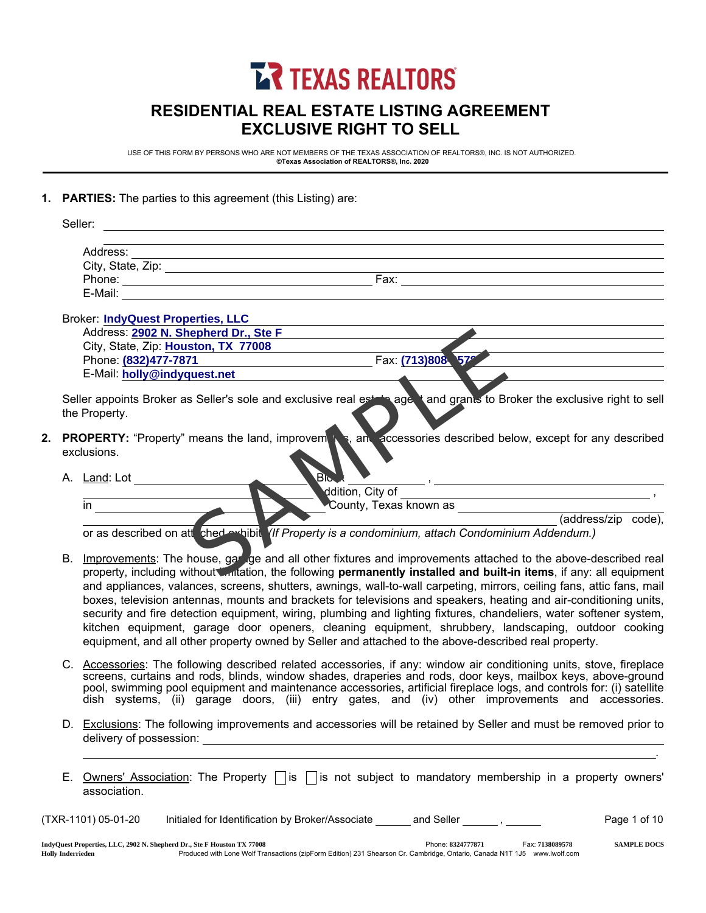

# RESIDENTIAL REAL ESTATE LISTING AGREEMENT EXCLUSIVE RIGHT TO SELL

USE OF THIS FORM BY PERSONS WHO ARE NOT MEMBERS OF THE TEXAS ASSOCIATION OF REALTORS®, INC. IS NOT AUTHORIZED. ©Texas Association of REALTORS®, Inc. 2020

#### 1. PARTIES: The parties to this agreement (this Listing) are:

|    | Seller:                                                                                                                                                                                                                                                                                                                                                                                                                                                                                                                                                                                                                                                                                                                                                                                                                     |
|----|-----------------------------------------------------------------------------------------------------------------------------------------------------------------------------------------------------------------------------------------------------------------------------------------------------------------------------------------------------------------------------------------------------------------------------------------------------------------------------------------------------------------------------------------------------------------------------------------------------------------------------------------------------------------------------------------------------------------------------------------------------------------------------------------------------------------------------|
|    | Address:                                                                                                                                                                                                                                                                                                                                                                                                                                                                                                                                                                                                                                                                                                                                                                                                                    |
|    | and the control of the control of the control of the control of the control of the control of the control of the<br>City, State, Zip: 2008                                                                                                                                                                                                                                                                                                                                                                                                                                                                                                                                                                                                                                                                                  |
|    |                                                                                                                                                                                                                                                                                                                                                                                                                                                                                                                                                                                                                                                                                                                                                                                                                             |
|    |                                                                                                                                                                                                                                                                                                                                                                                                                                                                                                                                                                                                                                                                                                                                                                                                                             |
|    | <b>Broker: IndyQuest Properties, LLC</b>                                                                                                                                                                                                                                                                                                                                                                                                                                                                                                                                                                                                                                                                                                                                                                                    |
|    |                                                                                                                                                                                                                                                                                                                                                                                                                                                                                                                                                                                                                                                                                                                                                                                                                             |
|    | City, State, Zip: Houston, TX 77008                                                                                                                                                                                                                                                                                                                                                                                                                                                                                                                                                                                                                                                                                                                                                                                         |
|    | <b>672</b>                                                                                                                                                                                                                                                                                                                                                                                                                                                                                                                                                                                                                                                                                                                                                                                                                  |
|    | E-Mail: holly@indyquest.net                                                                                                                                                                                                                                                                                                                                                                                                                                                                                                                                                                                                                                                                                                                                                                                                 |
|    | Seller appoints Broker as Seller's sole and exclusive real estatingle. And grants to Broker the exclusive right to sell<br>the Property.                                                                                                                                                                                                                                                                                                                                                                                                                                                                                                                                                                                                                                                                                    |
| 2. | <b>PROPERTY:</b> "Property" means the land, improvement and accessories described below, except for any described                                                                                                                                                                                                                                                                                                                                                                                                                                                                                                                                                                                                                                                                                                           |
|    | exclusions.                                                                                                                                                                                                                                                                                                                                                                                                                                                                                                                                                                                                                                                                                                                                                                                                                 |
|    |                                                                                                                                                                                                                                                                                                                                                                                                                                                                                                                                                                                                                                                                                                                                                                                                                             |
|    | <u> 1989 - Johann Barbara, martin a</u>                                                                                                                                                                                                                                                                                                                                                                                                                                                                                                                                                                                                                                                                                                                                                                                     |
|    | County, Texas known as<br>in $\qquad \qquad \qquad$                                                                                                                                                                                                                                                                                                                                                                                                                                                                                                                                                                                                                                                                                                                                                                         |
|    | (address/zip code),<br>or as described on att the devilority of Property is a condominium, attach Condominium Addendum.)                                                                                                                                                                                                                                                                                                                                                                                                                                                                                                                                                                                                                                                                                                    |
|    | B. Improvements: The house, gate ge and all other fixtures and improvements attached to the above-described real<br>property, including without multation, the following permanently installed and built-in items, if any: all equipment<br>and appliances, valances, screens, shutters, awnings, wall-to-wall carpeting, mirrors, ceiling fans, attic fans, mail<br>boxes, television antennas, mounts and brackets for televisions and speakers, heating and air-conditioning units,<br>security and fire detection equipment, wiring, plumbing and lighting fixtures, chandeliers, water softener system,<br>kitchen equipment, garage door openers, cleaning equipment, shrubbery, landscaping, outdoor cooking<br>equipment, and all other property owned by Seller and attached to the above-described real property. |
|    | C. Accessories: The following described related accessories, if any: window air conditioning units, stove, fireplace<br>screens, curtains and rods, blinds, window shades, draperies and rods, door keys, mailbox keys, above-ground<br>pool, swimming pool equipment and maintenance accessories, artificial fireplace logs, and controls for: (i) satellite<br>dish systems, (ii) garage doors, (iii) entry gates, and (iv) other improvements and accessories.                                                                                                                                                                                                                                                                                                                                                           |
|    | D. Exclusions: The following improvements and accessories will be retained by Seller and must be removed prior to                                                                                                                                                                                                                                                                                                                                                                                                                                                                                                                                                                                                                                                                                                           |
| Е. | Owners' Association: The Property   is   is not subject to mandatory membership in a property owners'                                                                                                                                                                                                                                                                                                                                                                                                                                                                                                                                                                                                                                                                                                                       |
|    | association.                                                                                                                                                                                                                                                                                                                                                                                                                                                                                                                                                                                                                                                                                                                                                                                                                |

(TXR-1101) 05-01-20 Initialed for Identification by Broker/Associate \_\_\_\_\_\_ and Seller \_\_\_\_\_\_ , \_\_\_\_\_\_ Page 1 of 10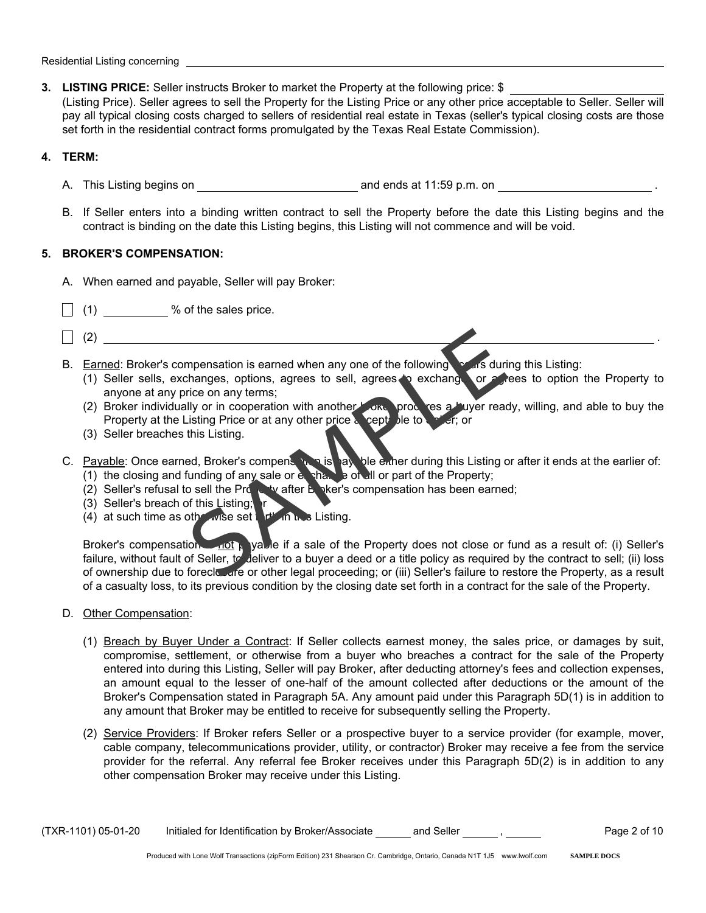Residential Listing concerning

3. LISTING PRICE: Seller instructs Broker to market the Property at the following price: \$

(Listing Price). Seller agrees to sell the Property for the Listing Price or any other price acceptable to Seller. Seller will pay all typical closing costs charged to sellers of residential real estate in Texas (seller's typical closing costs are those set forth in the residential contract forms promulgated by the Texas Real Estate Commission).

#### 4. TERM:

- A. This Listing begins on and ends at 11:59 p.m. on .
- B. If Seller enters into a binding written contract to sell the Property before the date this Listing begins and the contract is binding on the date this Listing begins, this Listing will not commence and will be void.

# 5. BROKER'S COMPENSATION:

A. When earned and payable, Seller will pay Broker:

 $\Box$  (1) \_\_\_\_\_\_\_\_\_\_\_ % of the sales price.

- $(2)$
- B. Earned: Broker's compensation is earned when any one of the following of sacris during this Listing:
	- (1) Seller sells, exchanges, options, agrees to sell, agrees to exchange, or agrees to option the Property to anyone at any price on any terms;
	- (2) Broker individually or in cooperation with another boxen rocures a buyer ready, willing, and able to buy the Property at the Listing Price or at any other price a ceptable to Ser; or
	- (3) Seller breaches this Listing.
- C. Payable: Once earned, Broker's compension is payable either during this Listing or after it ends at the earlier of:
	- (1) the closing and funding of any sale or  $\epsilon$  change of all or part of the Property;
	- (2) Seller's refusal to sell the Property after  $\frac{1}{2}$  skerty compensation has been earned;
	- (3) Seller's breach of this Listing;
	- (4) at such time as otherwise set  $f_{\text{tot}}$  in this Listing.

Broker's compensation is not payable if a sale of the Property does not close or fund as a result of: (i) Seller's failure, without fault of Seller, to deliver to a buyer a deed or a title policy as required by the contract to sell; (ii) loss of ownership due to foreclosure or other legal proceeding; or (iii) Seller's failure to restore the Property, as a result of a casualty loss, to its previous condition by the closing date set forth in a contract for the sale of the Property. mpensation is earned when any one of the following<br>hanges, options, agrees to sell, agrees a exchange or detection<br>ice on any terms;<br>ly or in cooperation with another based with exchange or a detection<br>is listing.<br>this Lis

- D. Other Compensation:
	- (1) Breach by Buyer Under a Contract: If Seller collects earnest money, the sales price, or damages by suit, compromise, settlement, or otherwise from a buyer who breaches a contract for the sale of the Property entered into during this Listing, Seller will pay Broker, after deducting attorney's fees and collection expenses, an amount equal to the lesser of one-half of the amount collected after deductions or the amount of the Broker's Compensation stated in Paragraph 5A. Any amount paid under this Paragraph 5D(1) is in addition to any amount that Broker may be entitled to receive for subsequently selling the Property.
	- (2) Service Providers: If Broker refers Seller or a prospective buyer to a service provider (for example, mover, cable company, telecommunications provider, utility, or contractor) Broker may receive a fee from the service provider for the referral. Any referral fee Broker receives under this Paragraph 5D(2) is in addition to any other compensation Broker may receive under this Listing.

(TXR-1101) 05-01-20 Initialed for Identification by Broker/Associate \_\_\_\_\_\_ and Seller \_\_\_\_\_\_ , \_\_\_\_\_\_ Page 2 of 10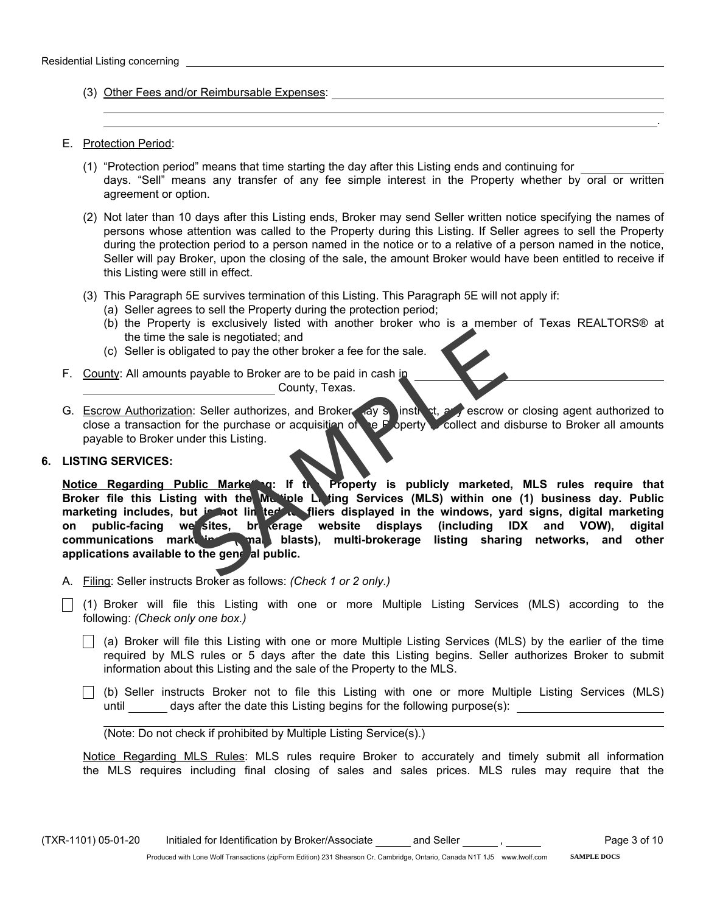- (3) Other Fees and/or Reimbursable Expenses:
- E. Protection Period:
	- (1) "Protection period" means that time starting the day after this Listing ends and continuing for days. "Sell" means any transfer of any fee simple interest in the Property whether by oral or written agreement or option.

.

- (2) Not later than 10 days after this Listing ends, Broker may send Seller written notice specifying the names of persons whose attention was called to the Property during this Listing. If Seller agrees to sell the Property during the protection period to a person named in the notice or to a relative of a person named in the notice, Seller will pay Broker, upon the closing of the sale, the amount Broker would have been entitled to receive if this Listing were still in effect.
- (3) This Paragraph 5E survives termination of this Listing. This Paragraph 5E will not apply if:
	- (a) Seller agrees to sell the Property during the protection period;
	- (b) the Property is exclusively listed with another broker who is a member of Texas REALTORS® at the time the sale is negotiated; and
	- (c) Seller is obligated to pay the other broker a fee for the sale.
- F. County: All amounts payable to Broker are to be paid in cash in **County, Texas.**
- G. Escrow Authorization: Seller authorizes, and Broker may so **hat the reserve or closing agent authorized to** close a transaction for the purchase or acquisition of the Property collect and disburse to Broker all amounts payable to Broker under this Listing.

#### 6. LISTING SERVICES:

Notice Regarding Public Marketing: If the Property is publicly marketed, MLS rules require that Broker file this Listing with the **Multiple Li**ting Services (MLS) within one (1) business day. Public marketing includes, but is not limited to, fliers displayed in the windows, yard signs, digital marketing on public-facing we ifes, breerage website displays (including IDX and VOW), digital communications marketing (email blasts), multi-brokerage listing sharing networks, and other applications available to the general public. The Sale is negotiated; and<br>
gated to pay the other broker a fee for the sale.<br>
payable to Broker are to be paid in cash in<br>
County, Texas.<br>
County, Texas.<br>
The Seller authorizes, and Broker are to be paid in cash in<br>
Coun

A. Filing: Seller instructs Broker as follows: *(Check 1 or 2 only.)*

(1) Broker will file this Listing with one or more Multiple Listing Services (MLS) according to the following: *(Check only one box.)*

- $\Box$  (a) Broker will file this Listing with one or more Multiple Listing Services (MLS) by the earlier of the time required by MLS rules or 5 days after the date this Listing begins. Seller authorizes Broker to submit information about this Listing and the sale of the Property to the MLS.
- $\Box$  (b) Seller instructs Broker not to file this Listing with one or more Multiple Listing Services (MLS) until days after the date this Listing begins for the following purpose(s):

(Note: Do not check if prohibited by Multiple Listing Service(s).)

Notice Regarding MLS Rules: MLS rules require Broker to accurately and timely submit all information the MLS requires including final closing of sales and sales prices. MLS rules may require that the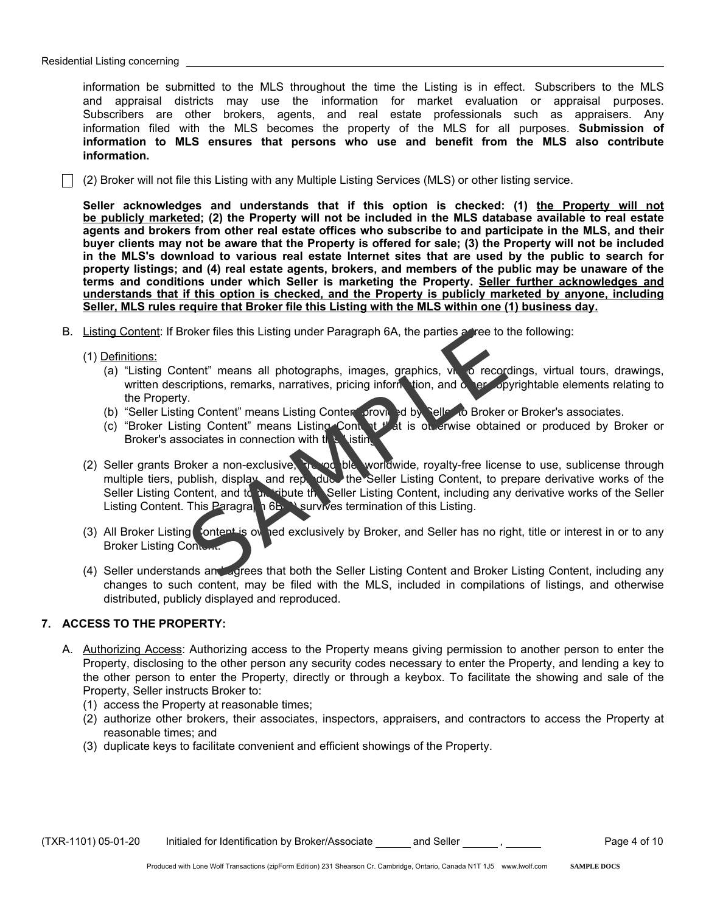information be submitted to the MLS throughout the time the Listing is in effect. Subscribers to the MLS and appraisal districts may use the information for market evaluation or appraisal purposes. Subscribers are other brokers, agents, and real estate professionals such as appraisers. Any information filed with the MLS becomes the property of the MLS for all purposes. Submission of information to MLS ensures that persons who use and benefit from the MLS also contribute information.

 $\Box$  (2) Broker will not file this Listing with any Multiple Listing Services (MLS) or other listing service.

Seller acknowledges and understands that if this option is checked: (1) the Property will not be publicly marketed; (2) the Property will not be included in the MLS database available to real estate agents and brokers from other real estate offices who subscribe to and participate in the MLS, and their buyer clients may not be aware that the Property is offered for sale; (3) the Property will not be included in the MLS's download to various real estate Internet sites that are used by the public to search for property listings; and (4) real estate agents, brokers, and members of the public may be unaware of the terms and conditions under which Seller is marketing the Property. Seller further acknowledges and understands that if this option is checked, and the Property is publicly marketed by anyone, including Seller, MLS rules require that Broker file this Listing with the MLS within one (1) business day.

- B. Listing Content: If Broker files this Listing under Paragraph 6A, the parties arrive to the following:
	- (1) Definitions:
		- (a) "Listing Content" means all photographs, images, graphics, video recordings, virtual tours, drawings, written descriptions, remarks, narratives, pricing information, and  $\lambda$  and pyrightable elements relating to the Property.
		- (b) "Seller Listing Content" means Listing Content provided by Seller to Broker or Broker's associates.
		- (c) "Broker Listing Content" means Listing Content that is otherwise obtained or produced by Broker or Broker's associates in connection with thing listing.
- (2) Seller grants Broker a non-exclusive,  $\log$  le, vorldwide, royalty-free license to use, sublicense through multiple tiers, publish, display, and reproduce the Seller Listing Content, to prepare derivative works of the Seller Listing Content, and to discribute the Seller Listing Content, including any derivative works of the Seller Listing Content. This Paragraph 6B(2) survives termination of this Listing. oker files this Listing under Paragraph 6A, the parties are be to the<br>tent" means all photographs, images, graphics, we<br>recording<br>informs, remarks, narratives, pricing informs tion, and a sprop<br>pricing Content" means Listi
	- (3) All Broker Listing ontent is owned exclusively by Broker, and Seller has no right, title or interest in or to any **Broker Listing Content.**
	- (4) Seller understands and agrees that both the Seller Listing Content and Broker Listing Content, including any changes to such content, may be filed with the MLS, included in compilations of listings, and otherwise distributed, publicly displayed and reproduced.

#### 7. ACCESS TO THE PROPERTY:

- A. Authorizing Access: Authorizing access to the Property means giving permission to another person to enter the Property, disclosing to the other person any security codes necessary to enter the Property, and lending a key to the other person to enter the Property, directly or through a keybox. To facilitate the showing and sale of the Property, Seller instructs Broker to:
	- (1) access the Property at reasonable times;
	- (2) authorize other brokers, their associates, inspectors, appraisers, and contractors to access the Property at reasonable times; and
	- (3) duplicate keys to facilitate convenient and efficient showings of the Property.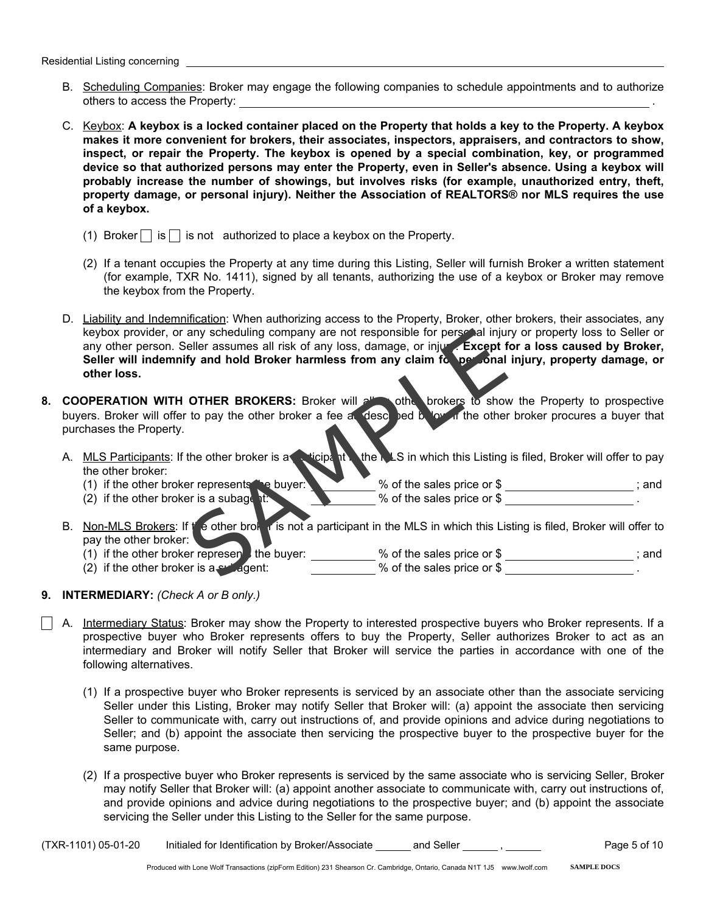- B. Scheduling Companies: Broker may engage the following companies to schedule appointments and to authorize others to access the Property: .
- C. Keybox: A keybox is a locked container placed on the Property that holds a key to the Property. A keybox makes it more convenient for brokers, their associates, inspectors, appraisers, and contractors to show, inspect, or repair the Property. The keybox is opened by a special combination, key, or programmed device so that authorized persons may enter the Property, even in Seller's absence. Using a keybox will probably increase the number of showings, but involves risks (for example, unauthorized entry, theft, property damage, or personal injury). Neither the Association of REALTORS® nor MLS requires the use of a keybox.
	- (1) Broker is is not authorized to place a keybox on the Property.
	- (2) If a tenant occupies the Property at any time during this Listing, Seller will furnish Broker a written statement (for example, TXR No. 1411), signed by all tenants, authorizing the use of a keybox or Broker may remove the keybox from the Property.
- D. Liability and Indemnification: When authorizing access to the Property, Broker, other brokers, their associates, any keybox provider, or any scheduling company are not responsible for personal injury or property loss to Seller or any other person. Seller assumes all risk of any loss, damage, or injury. Except for a loss caused by Broker, Seller will indemnify and hold Broker harmless from any claim for personal injury, property damage, or other loss. Example the other prior and scheen the other broker is a subage of the sales price or \$<br>
Non-MLS Brokers: If the other broker is a subage of the sales price or \$<br>
SAMPLE SAMPLE SAMPLE SAMPLE SAMPLE SAMPLE SAMPLE SAMPLE SAM
- 8. COOPERATION WITH OTHER BROKERS: Broker will all a the brokers to show the Property to prospective buyers. Broker will offer to pay the other broker a fee a described below in the other broker procures a buyer that purchases the Property.
	- A. MLS Participants: If the other broker is a participant in the MLS in which this Listing is filed, Broker will offer to pay the other broker:<br>(1) if the other broker represents
		- (1) if the other broker represents the buyer:  $\sim$  % of the sales price or \$ ; and (2) if the other broker is a subagent:  $\%$  of the sales price or \$
		-
	- B. Non-MLS Brokers: If the other broket is not a participant in the MLS in which this Listing is filed, Broker will offer to pay the other broker:
		- (1) if the other broker represent the buyer:  $\%$  of the sales price or  $\$$  ; and
		-

#### 9. INTERMEDIARY: *(Check A or B only.)*

- A. Intermediary Status: Broker may show the Property to interested prospective buyers who Broker represents. If a prospective buyer who Broker represents offers to buy the Property, Seller authorizes Broker to act as an intermediary and Broker will notify Seller that Broker will service the parties in accordance with one of the following alternatives.
	- (1) If a prospective buyer who Broker represents is serviced by an associate other than the associate servicing Seller under this Listing, Broker may notify Seller that Broker will: (a) appoint the associate then servicing Seller to communicate with, carry out instructions of, and provide opinions and advice during negotiations to Seller; and (b) appoint the associate then servicing the prospective buyer to the prospective buyer for the same purpose.
	- (2) If a prospective buyer who Broker represents is serviced by the same associate who is servicing Seller, Broker may notify Seller that Broker will: (a) appoint another associate to communicate with, carry out instructions of, and provide opinions and advice during negotiations to the prospective buyer; and (b) appoint the associate servicing the Seller under this Listing to the Seller for the same purpose.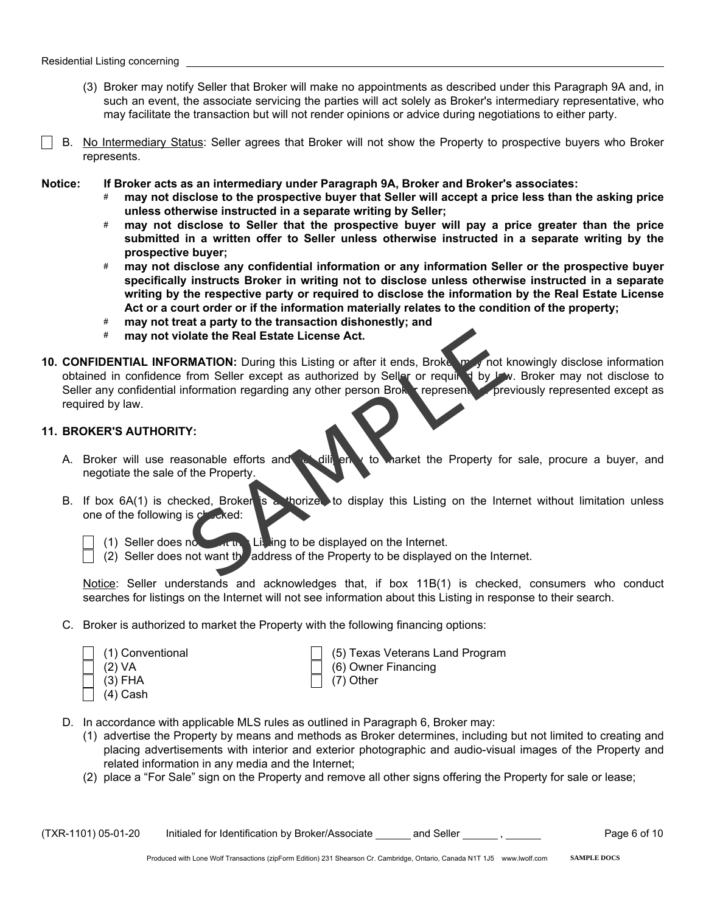- (3) Broker may notify Seller that Broker will make no appointments as described under this Paragraph 9A and, in such an event, the associate servicing the parties will act solely as Broker's intermediary representative, who may facilitate the transaction but will not render opinions or advice during negotiations to either party.
- B. No Intermediary Status: Seller agrees that Broker will not show the Property to prospective buyers who Broker represents.
- Notice: If Broker acts as an intermediary under Paragraph 9A, Broker and Broker's associates:
	- **#** may not disclose to the prospective buyer that Seller will accept a price less than the asking price unless otherwise instructed in a separate writing by Seller;
	- **#** may not disclose to Seller that the prospective buyer will pay a price greater than the price submitted in a written offer to Seller unless otherwise instructed in a separate writing by the prospective buyer;
	- **#** may not disclose any confidential information or any information Seller or the prospective buyer specifically instructs Broker in writing not to disclose unless otherwise instructed in a separate writing by the respective party or required to disclose the information by the Real Estate License Act or a court order or if the information materially relates to the condition of the property;
	- **#** may not treat a party to the transaction dishonestly; and
	- **#** may not violate the Real Estate License Act.
- 10. CONFIDENTIAL INFORMATION: During this Listing or after it ends, Broke may not knowingly disclose information obtained in confidence from Seller except as authorized by Seller or required by  $\Box$ . Broker may not disclose to Seller any confidential information regarding any other person Broket represents or previously represented except as required by law. The MATION: During this Listing or after it ends, Broke was not known that the Real Estate License Act.<br>
MATION: During this Listing or after it ends, Broke was not known<br>
from Seller except as authorized by Seller or requ

#### 11. BROKER'S AUTHORITY:

- A. Broker will use reasonable efforts and a diligent, to market the Property for sale, procure a buyer, and negotiate the sale of the Property.
- B. If box 6A(1) is checked, Broker is authorized to display this Listing on the Internet without limitation unless one of the following is checked:

(1) Seller does not wake the Listing to be displayed on the Internet.

(2) Seller does not want the address of the Property to be displayed on the Internet.

Notice: Seller understands and acknowledges that, if box 11B(1) is checked, consumers who conduct searches for listings on the Internet will not see information about this Listing in response to their search.

C. Broker is authorized to market the Property with the following financing options:

| (1) Convent |
|-------------|
| (2) VA      |
| (3) FHA     |
| (4) Cash    |

 $\Box$  (5) Texas Veterans Land Program

- (6) Owner Financing
- $(7)$  Other
- D. In accordance with applicable MLS rules as outlined in Paragraph 6, Broker may:
	- (1) advertise the Property by means and methods as Broker determines, including but not limited to creating and placing advertisements with interior and exterior photographic and audio-visual images of the Property and related information in any media and the Internet;
	- (2) place a "For Sale" sign on the Property and remove all other signs offering the Property for sale or lease;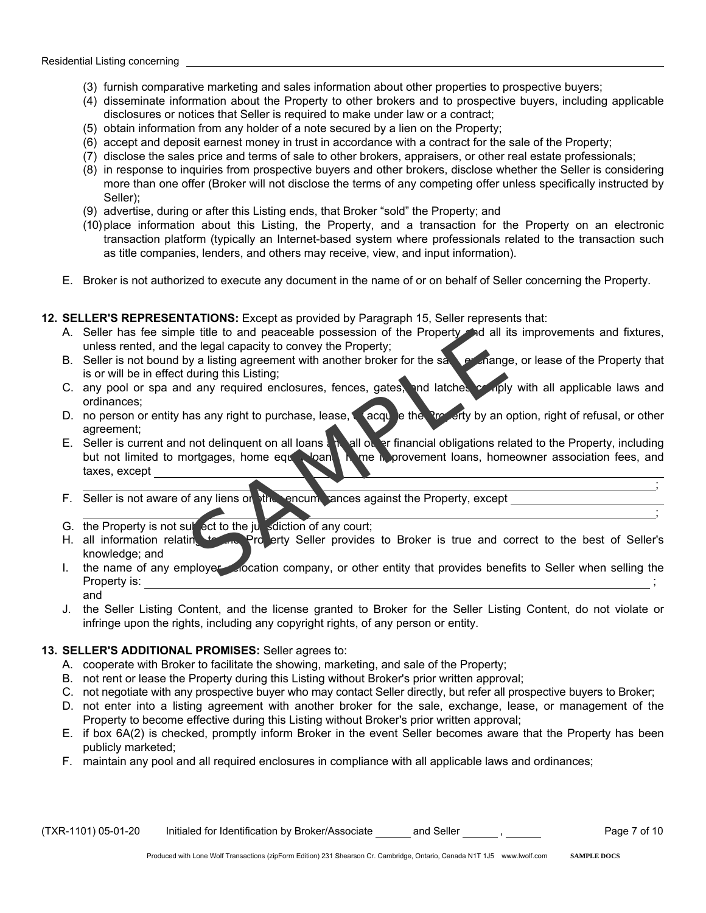- (3) furnish comparative marketing and sales information about other properties to prospective buyers;
- (4) disseminate information about the Property to other brokers and to prospective buyers, including applicable disclosures or notices that Seller is required to make under law or a contract;
- (5) obtain information from any holder of a note secured by a lien on the Property;
- (6) accept and deposit earnest money in trust in accordance with a contract for the sale of the Property;
- (7) disclose the sales price and terms of sale to other brokers, appraisers, or other real estate professionals;
- (8) in response to inquiries from prospective buyers and other brokers, disclose whether the Seller is considering more than one offer (Broker will not disclose the terms of any competing offer unless specifically instructed by Seller);
- (9) advertise, during or after this Listing ends, that Broker "sold" the Property; and
- (10)place information about this Listing, the Property, and a transaction for the Property on an electronic transaction platform (typically an Internet-based system where professionals related to the transaction such as title companies, lenders, and others may receive, view, and input information).
- E. Broker is not authorized to execute any document in the name of or on behalf of Seller concerning the Property.

#### 12. SELLER'S REPRESENTATIONS: Except as provided by Paragraph 15, Seller represents that:

- A. Seller has fee simple title to and peaceable possession of the Property  $\approx$  all its improvements and fixtures, unless rented, and the legal capacity to convey the Property;
- B. Seller is not bound by a listing agreement with another broker for the sale exchange, or lease of the Property that is or will be in effect during this Listing;
- C. any pool or spa and any required enclosures, fences, gates, and latches comply with all applicable laws and ordinances;
- D. no person or entity has any right to purchase, lease, acquire the Property by an option, right of refusal, or other agreement;
- E. Seller is current and not delinquent on all loans and all all other financial obligations related to the Property, including but not limited to mortgages, home equity loans, he has provement loans, homeowner association fees, and taxes, except Figure 1976. The state of the property of all its<br>title to and peaceable possession of the Property. The all its<br>ne legal capacity to convey the Property;<br>y a listing agreement with another broker for the sample,<br>during th
- F. Seller is not aware of any liens or the socume rances against the Property, except
- G. the Property is not subject to the juli diction of any court;
- H. all information relating to the Property Seller provides to Broker is true and correct to the best of Seller's knowledge; and
- I. the name of any employer, cocation company, or other entity that provides benefits to Seller when selling the Property is:  $\overline{\phantom{a}}$ and
- J. the Seller Listing Content, and the license granted to Broker for the Seller Listing Content, do not violate or infringe upon the rights, including any copyright rights, of any person or entity.

# 13. SELLER'S ADDITIONAL PROMISES: Seller agrees to:

- A. cooperate with Broker to facilitate the showing, marketing, and sale of the Property;
- B. not rent or lease the Property during this Listing without Broker's prior written approval;
- C. not negotiate with any prospective buyer who may contact Seller directly, but refer all prospective buyers to Broker;
- D. not enter into a listing agreement with another broker for the sale, exchange, lease, or management of the Property to become effective during this Listing without Broker's prior written approval;
- E. if box 6A(2) is checked, promptly inform Broker in the event Seller becomes aware that the Property has been publicly marketed;
- F. maintain any pool and all required enclosures in compliance with all applicable laws and ordinances;

;

;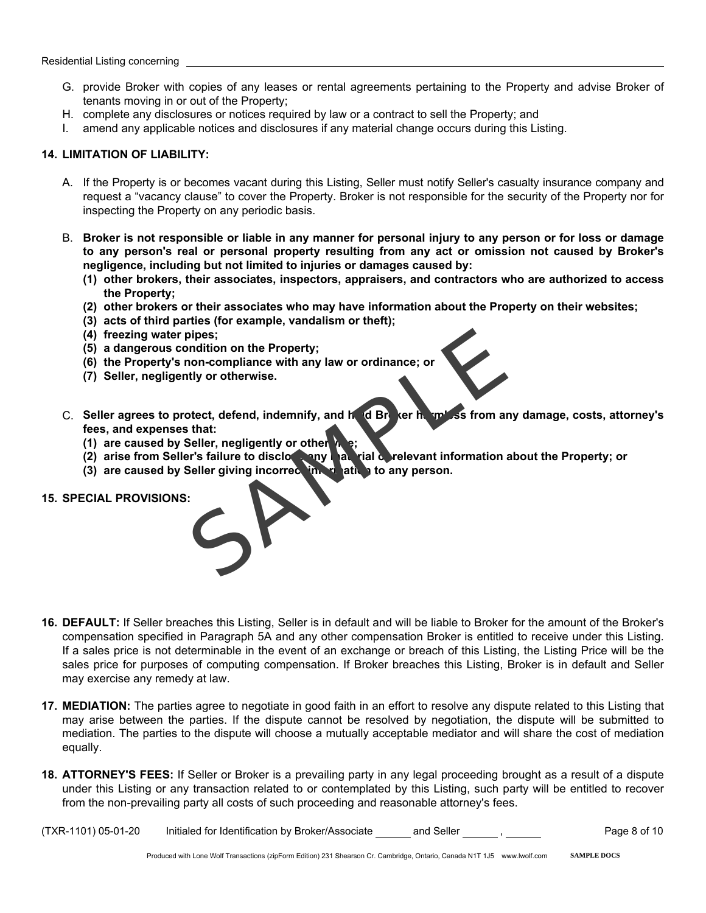- G. provide Broker with copies of any leases or rental agreements pertaining to the Property and advise Broker of tenants moving in or out of the Property;
- H. complete any disclosures or notices required by law or a contract to sell the Property; and
- I. amend any applicable notices and disclosures if any material change occurs during this Listing.

#### 14. LIMITATION OF LIABILITY:

- A. If the Property is or becomes vacant during this Listing, Seller must notify Seller's casualty insurance company and request a "vacancy clause" to cover the Property. Broker is not responsible for the security of the Property nor for inspecting the Property on any periodic basis.
- B. Broker is not responsible or liable in any manner for personal injury to any person or for loss or damage to any person's real or personal property resulting from any act or omission not caused by Broker's negligence, including but not limited to injuries or damages caused by:
	- (1) other brokers, their associates, inspectors, appraisers, and contractors who are authorized to access the Property;
	- (2) other brokers or their associates who may have information about the Property on their websites;
	- (3) acts of third parties (for example, vandalism or theft);
	- (4) freezing water pipes;
	- (5) a dangerous condition on the Property;
	- (6) the Property's non-compliance with any law or ordinance; or
	- (7) Seller, negligently or otherwise.
- C. Seller agrees to protect, defend, indemnify, and hold Broker harmless from any damage, costs, attorney's fees, and expenses that: These tion example, vandalism of their),<br>indition on the Property;<br>non-compliance with any law or ordinance; or<br>thy or otherwise.<br>btect, defend, indemnify, and he is Brown in the sistem any<br>that:<br>Seller, negligently or oth
	- (1) are caused by Seller, negligently or other
	- (2) arise from Seller's failure to disclose any material or relevant information about the Property; or
	- (3) are caused by Seller giving incorrecting  $\mathbf{r}_1$  tion to any person.

15. SPECIAL PROVISIONS:

- 16. DEFAULT: If Seller breaches this Listing, Seller is in default and will be liable to Broker for the amount of the Broker's compensation specified in Paragraph 5A and any other compensation Broker is entitled to receive under this Listing. If a sales price is not determinable in the event of an exchange or breach of this Listing, the Listing Price will be the sales price for purposes of computing compensation. If Broker breaches this Listing, Broker is in default and Seller may exercise any remedy at law.
- 17. MEDIATION: The parties agree to negotiate in good faith in an effort to resolve any dispute related to this Listing that may arise between the parties. If the dispute cannot be resolved by negotiation, the dispute will be submitted to mediation. The parties to the dispute will choose a mutually acceptable mediator and will share the cost of mediation equally.
- 18. ATTORNEY'S FEES: If Seller or Broker is a prevailing party in any legal proceeding brought as a result of a dispute under this Listing or any transaction related to or contemplated by this Listing, such party will be entitled to recover from the non-prevailing party all costs of such proceeding and reasonable attorney's fees.

(TXR-1101) 05-01-20 Initialed for Identification by Broker/Associate and Seller (Page 8 of 10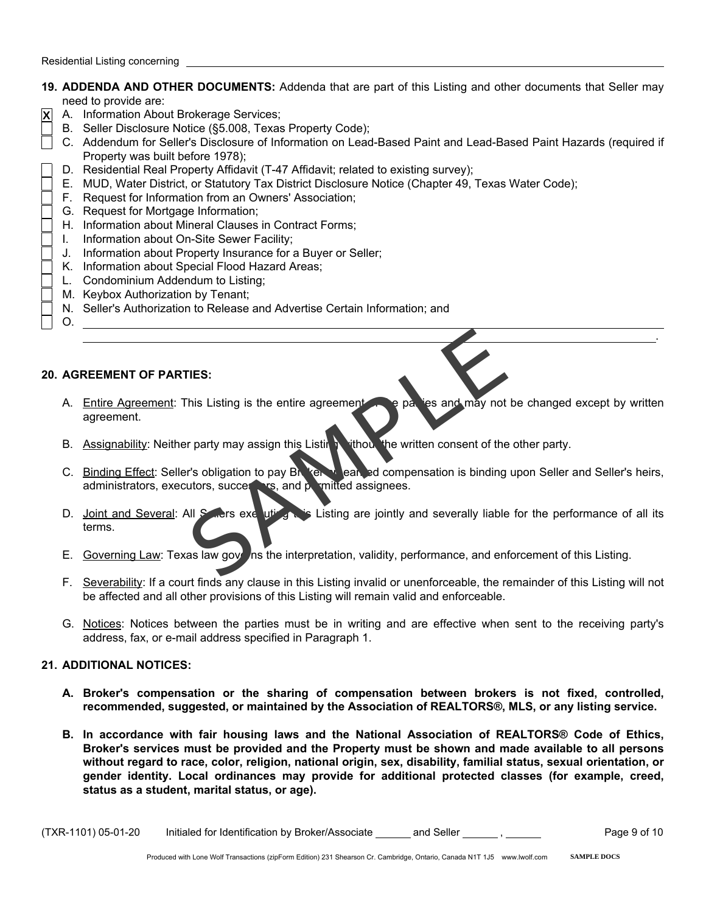# 19. ADDENDA AND OTHER DOCUMENTS: Addenda that are part of this Listing and other documents that Seller may need to provide are:

- A. Information About Brokerage Services; **X**
- B. Seller Disclosure Notice (§5.008, Texas Property Code);
- C. Addendum for Seller's Disclosure of Information on Lead-Based Paint and Lead-Based Paint Hazards (required if Property was built before 1978);
- D. Residential Real Property Affidavit (T-47 Affidavit; related to existing survey);
- E. MUD, Water District, or Statutory Tax District Disclosure Notice (Chapter 49, Texas Water Code);
- F. Request for Information from an Owners' Association;
- G. Request for Mortgage Information;
- H. Information about Mineral Clauses in Contract Forms;
- I. Information about On-Site Sewer Facility;
- J. Information about Property Insurance for a Buyer or Seller;
- K. Information about Special Flood Hazard Areas;
- L. Condominium Addendum to Listing;
- M. Keybox Authorization by Tenant;
- N. Seller's Authorization to Release and Advertise Certain Information; and

# 20. AGREEMENT OF PARTIES:

O.

A. Entire Agreement: This Listing is the entire agreement of the parties and may not be changed except by written agreement.

.

- B. Assignability: Neither party may assign this Listing without the written consent of the other party.
- C. Binding Effect: Seller's obligation to pay Broker and armod compensation is binding upon Seller and Seller's heirs, administrators, executors, successors, and permitted assignees.
- D. Joint and Several: All Sellers executing the Listing are jointly and severally liable for the performance of all its terms. TIES:<br>
This Listing is the entire agreement<br>
The written consent of the of<br>
T's obligation to pay B, we are and a compensation is binding up<br>
The Listing are jointly and severally liable for<br>
Ill Se<sup>tto</sup>s exercity in Listi
- E. Governing Law: Texas law governs the interpretation, validity, performance, and enforcement of this Listing.
- F. Severability: If a court finds any clause in this Listing invalid or unenforceable, the remainder of this Listing will not be affected and all other provisions of this Listing will remain valid and enforceable.
- G. Notices: Notices between the parties must be in writing and are effective when sent to the receiving party's address, fax, or e-mail address specified in Paragraph 1.

#### 21. ADDITIONAL NOTICES:

- A. Broker's compensation or the sharing of compensation between brokers is not fixed, controlled, recommended, suggested, or maintained by the Association of REALTORS®, MLS, or any listing service.
- B. In accordance with fair housing laws and the National Association of REALTORS® Code of Ethics, Broker's services must be provided and the Property must be shown and made available to all persons without regard to race, color, religion, national origin, sex, disability, familial status, sexual orientation, or gender identity. Local ordinances may provide for additional protected classes (for example, creed, status as a student, marital status, or age).